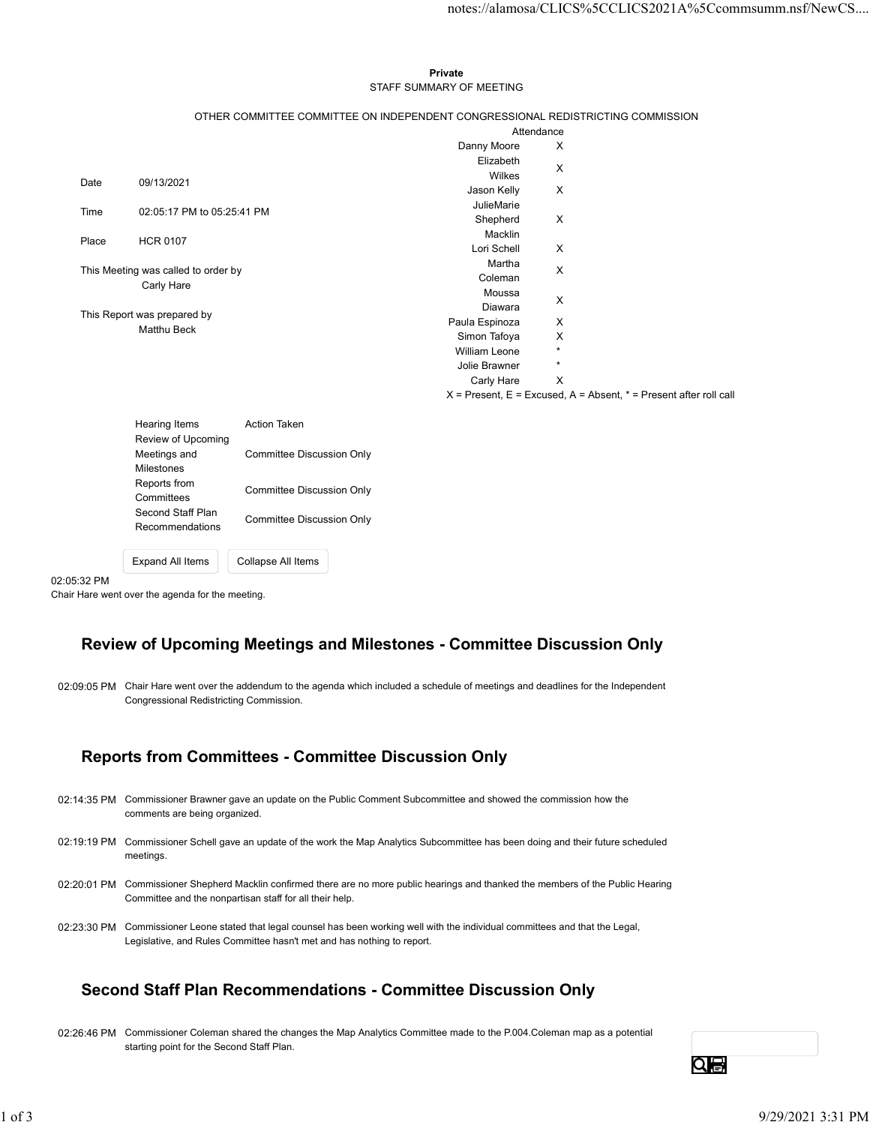### Private **Private** and *Private* and *Private* and *Private* and *Private* and *Private* and *Private* and *Private* and *Private* and *Private* and *Private* and *Private* and *Private* and *Private* and *Private* and *Pri* STAFF SUMMARY OF MEETING

|       |                                                   |                                                                                 |                        | notes://alamosa/CLICS%5CCLICS2021A%5Ccommsumm.nsf/NewCS                   |  |
|-------|---------------------------------------------------|---------------------------------------------------------------------------------|------------------------|---------------------------------------------------------------------------|--|
|       |                                                   |                                                                                 |                        |                                                                           |  |
|       |                                                   |                                                                                 |                        |                                                                           |  |
|       |                                                   |                                                                                 |                        |                                                                           |  |
|       |                                                   | Private                                                                         |                        |                                                                           |  |
|       |                                                   | STAFF SUMMARY OF MEETING                                                        |                        |                                                                           |  |
|       |                                                   | OTHER COMMITTEE COMMITTEE ON INDEPENDENT CONGRESSIONAL REDISTRICTING COMMISSION |                        |                                                                           |  |
|       |                                                   |                                                                                 | Attendance             |                                                                           |  |
|       |                                                   |                                                                                 | Danny Moore            | X                                                                         |  |
|       |                                                   |                                                                                 | Elizabeth              | X                                                                         |  |
| Date  | 09/13/2021                                        |                                                                                 | Wilkes                 |                                                                           |  |
|       |                                                   |                                                                                 | Jason Kelly            | X                                                                         |  |
| Time  | 02:05:17 PM to 05:25:41 PM                        |                                                                                 | JulieMarie<br>Shepherd | X                                                                         |  |
|       |                                                   |                                                                                 | Macklin                |                                                                           |  |
| Place | <b>HCR 0107</b>                                   |                                                                                 | Lori Schell            | X                                                                         |  |
|       |                                                   |                                                                                 | Martha                 |                                                                           |  |
|       | This Meeting was called to order by<br>Carly Hare |                                                                                 | Coleman                | X                                                                         |  |
|       |                                                   |                                                                                 | Moussa                 | X                                                                         |  |
|       | This Report was prepared by                       |                                                                                 | Diawara                |                                                                           |  |
|       | <b>Matthu Beck</b>                                | Paula Espinoza                                                                  | Simon Tafoya           | X<br>X                                                                    |  |
|       |                                                   |                                                                                 | William Leone          | $\star$                                                                   |  |
|       |                                                   |                                                                                 | Jolie Brawner          | $\star$                                                                   |  |
|       |                                                   |                                                                                 | Carly Hare             | $\mathsf{X}$                                                              |  |
|       |                                                   |                                                                                 |                        | $X =$ Present, $E =$ Excused, $A =$ Absent, $* =$ Present after roll call |  |
|       |                                                   |                                                                                 |                        |                                                                           |  |
|       | Hearing Items<br>Review of Upcoming               | Action Taken                                                                    |                        |                                                                           |  |
|       | Meetings and                                      | <b>Committee Discussion Only</b>                                                |                        |                                                                           |  |
|       | Milestones                                        |                                                                                 |                        |                                                                           |  |
|       | Reports from                                      | <b>Committee Discussion Only</b>                                                |                        |                                                                           |  |
|       | Committees                                        |                                                                                 |                        |                                                                           |  |
|       | Second Staff Plan                                 |                                                                                 |                        |                                                                           |  |

| Hearing Items           | Action Taken              |
|-------------------------|---------------------------|
| Review of Upcoming      |                           |
| Meetings and            | Committee Discussion Only |
| <b>Milestones</b>       |                           |
| Reports from            |                           |
| Committees              | Committee Discussion Only |
| Second Staff Plan       |                           |
| Recommendations         | Committee Discussion Only |
|                         |                           |
| <b>Expand All Items</b> | Collapse All Items        |
|                         |                           |

02:05:32 PM

Chair Hare went over the agenda for the meeting.

# Review of Upcoming Meetings and Milestones - Committee Discussion Only

02:09:05 PM Chair Hare went over the addendum to the agenda which included a schedule of meetings and deadlines for the Independent Congressional Redistricting Commission.

# Reports from Committees - Committee Discussion Only

| <b>Reports from Committees - Committee Discussion Only</b>                                                                                                                                                  |    |  |
|-------------------------------------------------------------------------------------------------------------------------------------------------------------------------------------------------------------|----|--|
| 02:14:35 PM Commissioner Brawner gave an update on the Public Comment Subcommittee and showed the commission how the<br>comments are being organized.                                                       |    |  |
| 02:19:19 PM Commissioner Schell gave an update of the work the Map Analytics Subcommittee has been doing and their future scheduled<br>meetings.                                                            |    |  |
| 02:20:01 PM Commissioner Shepherd Macklin confirmed there are no more public hearings and thanked the members of the Public Hearing<br>Committee and the nonpartisan staff for all their help.              |    |  |
| 02:23:30 PM Commissioner Leone stated that legal counsel has been working well with the individual committees and that the Legal,<br>Legislative, and Rules Committee hasn't met and has nothing to report. |    |  |
|                                                                                                                                                                                                             |    |  |
| Second Staff Plan Recommendations - Committee Discussion Only                                                                                                                                               |    |  |
| 02:26:46 PM Commissioner Coleman shared the changes the Map Analytics Committee made to the P.004.Coleman map as a potential<br>starting point for the Second Staff Plan.                                   |    |  |
|                                                                                                                                                                                                             | Qe |  |

# Second Staff Plan Recommendations - Committee Discussion Only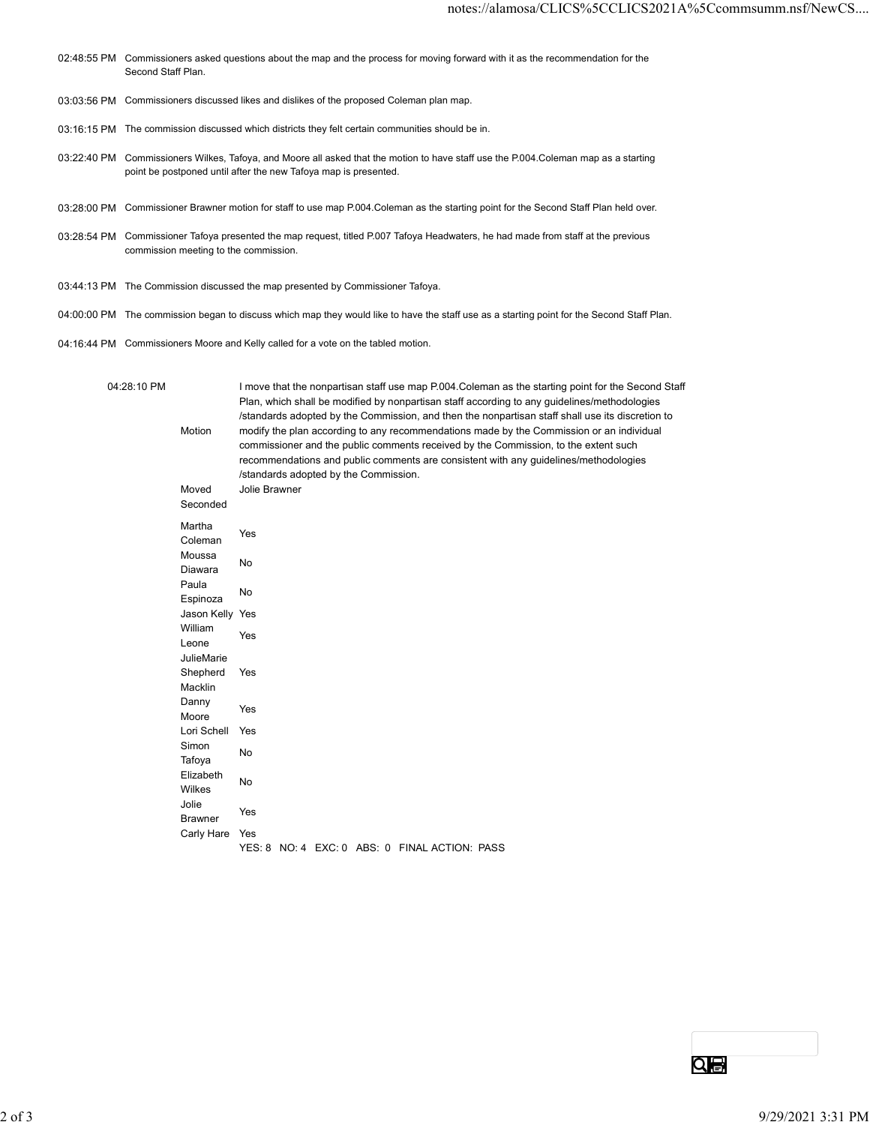- 02:48:55 PM Commissioners asked questions about the map and the process for moving forward with it as the recommendation for the Second Staff Plan.
- 03:03:56 PM Commissioners discussed likes and dislikes of the proposed Coleman plan map.
- 03:16:15 PM The commission discussed which districts they felt certain communities should be in.
- 03:22:40 PM Commissioners Wilkes, Tafoya, and Moore all asked that the motion to have staff use the P.004.Coleman map as a starting point be postponed until after the new Tafoya map is presented.
- 03:28:00 PM Commissioner Brawner motion for staff to use map P.004.Coleman as the starting point for the Second Staff Plan held over.
- 03:28:54 PM Commissioner Tafoya presented the map request, titled P.007 Tafoya Headwaters, he had made from staff at the previous commission meeting to the commission.

- 04:00:00 PM The commission began to discuss which map they would like to have the staff use as a starting point for the Second Staff Plan.
- 04:16:44 PM Commissioners Moore and Kelly called for a vote on the tabled motion.

|            |             |                                                                                                                                                                                                                                                                                                | 03:16:15 PM The commission discussed which districts they felt certain communities should be in.                                                                                                                                                                                                                                                                                                                                                                                                                                                                                                                                                                                                                                                                |                   |
|------------|-------------|------------------------------------------------------------------------------------------------------------------------------------------------------------------------------------------------------------------------------------------------------------------------------------------------|-----------------------------------------------------------------------------------------------------------------------------------------------------------------------------------------------------------------------------------------------------------------------------------------------------------------------------------------------------------------------------------------------------------------------------------------------------------------------------------------------------------------------------------------------------------------------------------------------------------------------------------------------------------------------------------------------------------------------------------------------------------------|-------------------|
|            |             |                                                                                                                                                                                                                                                                                                | 03:22:40 PM Commissioners Wilkes, Tafoya, and Moore all asked that the motion to have staff use the P.004.Coleman map as a starting<br>point be postponed until after the new Tafoya map is presented.                                                                                                                                                                                                                                                                                                                                                                                                                                                                                                                                                          |                   |
|            |             |                                                                                                                                                                                                                                                                                                | 03:28:00 PM Commissioner Brawner motion for staff to use map P.004.Coleman as the starting point for the Second Staff Plan held over.                                                                                                                                                                                                                                                                                                                                                                                                                                                                                                                                                                                                                           |                   |
|            |             | commission meeting to the commission.                                                                                                                                                                                                                                                          | 03:28:54 PM Commissioner Tafoya presented the map request, titled P.007 Tafoya Headwaters, he had made from staff at the previous                                                                                                                                                                                                                                                                                                                                                                                                                                                                                                                                                                                                                               |                   |
|            |             |                                                                                                                                                                                                                                                                                                | 03:44:13 PM The Commission discussed the map presented by Commissioner Tafoya.                                                                                                                                                                                                                                                                                                                                                                                                                                                                                                                                                                                                                                                                                  |                   |
|            |             |                                                                                                                                                                                                                                                                                                | 04:00:00 PM The commission began to discuss which map they would like to have the staff use as a starting point for the Second Staff Plan.                                                                                                                                                                                                                                                                                                                                                                                                                                                                                                                                                                                                                      |                   |
|            |             |                                                                                                                                                                                                                                                                                                | 04:16:44 PM Commissioners Moore and Kelly called for a vote on the tabled motion.                                                                                                                                                                                                                                                                                                                                                                                                                                                                                                                                                                                                                                                                               |                   |
|            | 04:28:10 PM | Motion<br>Moved<br>Seconded<br>Martha<br>Coleman<br>Moussa<br>Diawara<br>Paula<br>Espinoza<br>Jason Kelly Yes<br>William<br>Leone<br>JulieMarie<br>Shepherd<br>Macklin<br>Danny<br>Moore<br>Lori Schell<br>Simon<br>Tafoya<br>Elizabeth<br>Wilkes<br>Jolie<br><b>Brawner</b><br>Carly Hare Yes | I move that the nonpartisan staff use map P.004. Coleman as the starting point for the Second Staff<br>Plan, which shall be modified by nonpartisan staff according to any guidelines/methodologies<br>/standards adopted by the Commission, and then the nonpartisan staff shall use its discretion to<br>modify the plan according to any recommendations made by the Commission or an individual<br>commissioner and the public comments received by the Commission, to the extent such<br>recommendations and public comments are consistent with any guidelines/methodologies<br>/standards adopted by the Commission.<br>Jolie Brawner<br>Yes<br>No<br>No<br>Yes<br>Yes<br>Yes<br>Yes<br>No<br>No<br>Yes<br>YES: 8 NO: 4 EXC: 0 ABS: 0 FINAL ACTION: PASS |                   |
|            |             |                                                                                                                                                                                                                                                                                                | <b>QB</b>                                                                                                                                                                                                                                                                                                                                                                                                                                                                                                                                                                                                                                                                                                                                                       |                   |
| $2$ of $3$ |             |                                                                                                                                                                                                                                                                                                |                                                                                                                                                                                                                                                                                                                                                                                                                                                                                                                                                                                                                                                                                                                                                                 | 9/29/2021 3:31 PM |